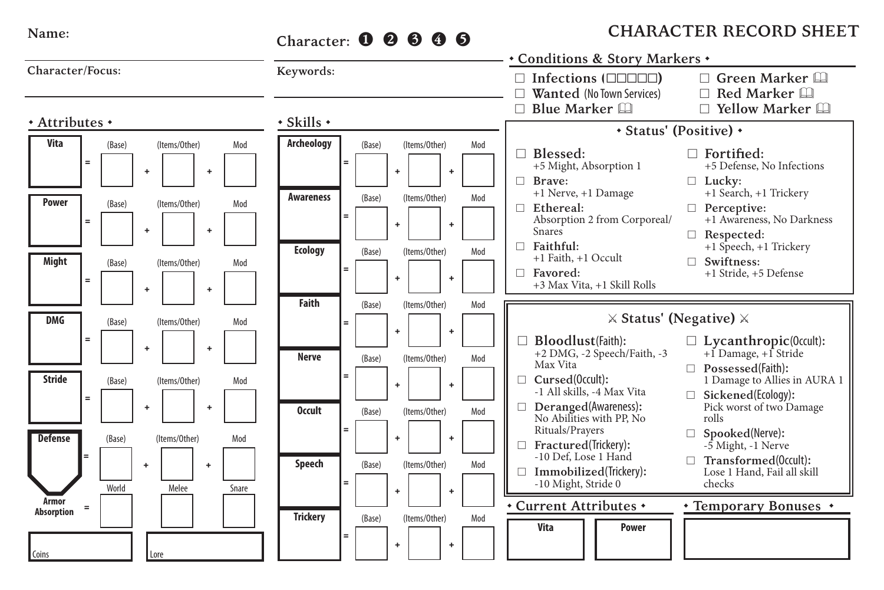## **Name:**

## **Character:** <sup>❶❷❸❹❺</sup>

## **CHARACTER RECORD SHEET**

|                     |          |        |           |               |           |       |                        |     |        |   |               |           |     |    | * Conditions & Story Markers *                                                                       |                                                                                            |
|---------------------|----------|--------|-----------|---------------|-----------|-------|------------------------|-----|--------|---|---------------|-----------|-----|----|------------------------------------------------------------------------------------------------------|--------------------------------------------------------------------------------------------|
| Character/Focus:    |          |        |           |               |           |       | Keywords:              |     |        |   |               |           |     |    | $\Box$ Infections ( $\Box$ $\Box$ $\Box$ )<br>Wanted (No Town Services)                              | $\Box$ Green Marker<br>$\Box$ Red Marker                                                   |
| * Attributes *      |          |        |           |               |           |       | $\cdot$ Skills $\cdot$ |     |        |   |               |           |     |    | $\Box$ Blue Marker $\Box$                                                                            | Yellow Marker                                                                              |
|                     |          |        |           |               |           |       |                        |     |        |   |               |           |     |    |                                                                                                      | * Status' (Positive) *                                                                     |
| Vita                | $=$      | (Base) | ÷         | (Items/Other) | ÷         | Mod   | Archeology             | $=$ | (Base) | ÷ | (Items/Other) | $\ddot{}$ | Mod |    | Blessed:<br>+5 Might, Absorption 1<br>$\Box$ Brave:                                                  | $\Box$ Fortified:<br>+5 Defense, No Infections<br>$\Box$ Lucky:                            |
| Power               | $=$      | (Base) |           | (Items/Other) |           | Mod   | <b>Awareness</b>       | $=$ | (Base) | ÷ | (Items/Other) | $\ddot{}$ | Mod | п. | +1 Nerve, +1 Damage<br>Ethereal:<br>Absorption 2 from Corporeal/                                     | +1 Search, +1 Trickery<br>$\Box$ Perceptive:<br>+1 Awareness, No Darkness                  |
| Might               | $\equiv$ | (Base) | ÷         | (Items/Other) | ÷         | Mod   | <b>Ecology</b>         | $=$ | (Base) | ÷ | (Items/Other) | $\ddot{}$ | Mod | п  | <b>Snares</b><br>Faithful:<br>+1 Faith, +1 Occult<br>$\Box$ Favored:<br>+3 Max Vita, +1 Skill Rolls  | Respected:<br>+1 Speech, +1 Trickery<br>$\Box$ Swiftness:<br>+1 Stride, +5 Defense         |
|                     |          |        | ٠         |               | ÷         |       | Faith                  |     | (Base) |   | (Items/Other) |           | Mod |    |                                                                                                      |                                                                                            |
| <b>DMG</b>          |          | (Base) |           | (Items/Other) |           | Mod   |                        | $=$ |        |   |               |           |     |    |                                                                                                      | $\times$ Status' (Negative) $\times$                                                       |
|                     | $\equiv$ |        | ÷         |               | ÷         |       | <b>Nerve</b>           |     | (Base) | ÷ | (Items/Other) | $\ddot{}$ | Mod |    | Bloodlust(Faith):<br>+2 DMG, -2 Speech/Faith, -3<br>Max Vita                                         | $\Box$ Lycanthropic(0ccult):<br>$+1$ Damage, $+1$ Stride<br>$\Box$ Possessed(Faith):       |
| <b>Stride</b>       | $=$      | (Base) |           | (Items/Other) |           | Mod   |                        | Ξ   |        | ÷ |               | $\ddot{}$ |     |    | Cursed(0ccult):<br>П<br>-1 All skills, -4 Max Vita                                                   | 1 Damage to Allies in AURA 1<br>$\Box$ Sickened(Ecology):                                  |
| <b>Defense</b>      |          | (Base) | $\ddot{}$ | (Items/Other) | ÷         | Mod   | <b>Occult</b>          | $=$ | (Base) | ÷ | (Items/Other) | $\ddot{}$ | Mod |    | Deranged(Awareness):<br>No Abilities with PP. No<br>Rituals/Prayers                                  | Pick worst of two Damage<br>rolls<br>$\Box$ Spooked(Nerve):                                |
|                     |          | World  |           | Melee         | $\ddot{}$ | Snare | Speech                 | $=$ | (Base) | ÷ | (Items/Other) | $\ddot{}$ | Mod |    | Fractured(Trickery):<br>-10 Def. Lose 1 Hand<br>$\Box$ Immobilized(Trickery):<br>-10 Might, Stride 0 | -5 Might, -1 Nerve<br>$\Box$ Transformed(0ccult):<br>Lose 1 Hand, Fail all skill<br>checks |
| Armor<br>Absorption | $\equiv$ |        |           |               |           |       |                        |     |        |   |               |           |     |    | Current Attributes +                                                                                 | • Temporary Bonuses •                                                                      |
| Coins               |          |        | Lore      |               |           |       | <b>Trickery</b>        | $=$ | (Base) | ÷ | (Items/Other) | $\ddot{}$ | Mod |    | Vita<br>Power                                                                                        |                                                                                            |